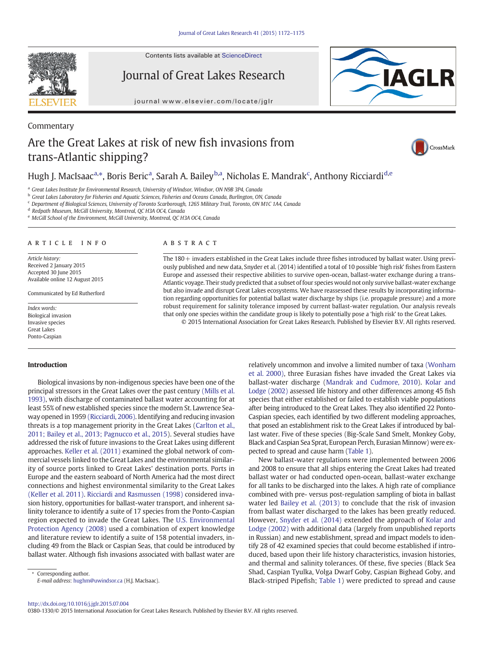Contents lists available at ScienceDirect

Journal of Great Lakes Research

journal<www.elsevier.com/locate/jglr>



# Are the Great Lakes at risk of new fish invasions from trans-Atlantic shipping?



## Hugh J. MacIsaac<sup>a,</sup>\*, Boris Beric<sup>a</sup>, Sarah A. Bailey<sup>b,a</sup>, Nicholas E. Mandrak<sup>c</sup>, Anthony Ricciardi<sup>d,e</sup>

<sup>a</sup> Great Lakes Institute for Environmental Research, University of Windsor, Windsor, ON N9B 3P4, Canada

<sup>b</sup> Great Lakes Laboratory for Fisheries and Aquatic Sciences, Fisheries and Oceans Canada, Burlington, ON, Canada

<sup>c</sup> Department of Biological Sciences, University of Toronto Scarborough, 1265 Military Trail, Toronto, ON M1C 1A4, Canada

<sup>d</sup> Redpath Museum, McGill University, Montreal, QC H3A OC4, Canada

<sup>e</sup> McGill School of the Environment, McGill University, Montreal, QC H3A OC4, Canada

### article info abstract

Commentary

Article history: Received 2 January 2015 Accepted 30 June 2015 Available online 12 August 2015

Communicated by Ed Rutherford

Index words: Biological invasion Invasive species Great Lakes Ponto-Caspian

### Introduction

Biological invasions by non-indigenous species have been one of the principal stressors in the Great Lakes over the past century [\(Mills et al.](#page-3-0) [1993\)](#page-3-0), with discharge of contaminated ballast water accounting for at least 55% of new established species since the modern St. Lawrence Seaway opened in 1959 [\(Ricciardi, 2006\)](#page-3-0). Identifying and reducing invasion threats is a top management priority in the Great Lakes ([Carlton et al.,](#page-2-0) [2011; Bailey et al., 2013; Pagnucco et al., 2015\)](#page-2-0). Several studies have addressed the risk of future invasions to the Great Lakes using different approaches. [Keller et al. \(2011\)](#page-2-0) examined the global network of commercial vessels linked to the Great Lakes and the environmental similarity of source ports linked to Great Lakes' destination ports. Ports in Europe and the eastern seaboard of North America had the most direct connections and highest environmental similarity to the Great Lakes [\(Keller et al. 2011\).](#page-2-0) [Ricciardi and Rasmussen \(1998\)](#page-3-0) considered invasion history, opportunities for ballast-water transport, and inherent salinity tolerance to identify a suite of 17 species from the Ponto-Caspian region expected to invade the Great Lakes. The [U.S. Environmental](#page-2-0) [Protection Agency \(2008\)](#page-2-0) used a combination of expert knowledge and literature review to identify a suite of 158 potential invaders, including 49 from the Black or Caspian Seas, that could be introduced by ballast water. Although fish invasions associated with ballast water are

⁎ Corresponding author. E-mail address: [hughm@uwindsor.ca](mailto:hughm@uwindsor.ca) (H.J. MacIsaac).

The 180+ invaders established in the Great Lakes include three fishes introduced by ballast water. Using previously published and new data, Snyder et al. (2014) identified a total of 10 possible 'high risk' fishes from Eastern Europe and assessed their respective abilities to survive open-ocean, ballast-water exchange during a trans-Atlantic voyage. Their study predicted that a subset of four species would not only survive ballast-water exchange but also invade and disrupt Great Lakes ecosystems. We have reassessed these results by incorporating information regarding opportunities for potential ballast water discharge by ships (i.e. propagule pressure) and a more robust requirement for salinity tolerance imposed by current ballast-water regulation. Our analysis reveals that only one species within the candidate group is likely to potentially pose a 'high risk' to the Great Lakes.

© 2015 International Association for Great Lakes Research. Published by Elsevier B.V. All rights reserved.

relatively uncommon and involve a limited number of taxa [\(Wonham](#page-3-0) [et al. 2000\),](#page-3-0) three Eurasian fishes have invaded the Great Lakes via ballast-water discharge ([Mandrak and Cudmore, 2010\)](#page-3-0). [Kolar and](#page-2-0) [Lodge \(2002\)](#page-2-0) assessed life history and other differences among 45 fish species that either established or failed to establish viable populations after being introduced to the Great Lakes. They also identified 22 Ponto-Caspian species, each identified by two different modeling approaches, that posed an establishment risk to the Great Lakes if introduced by ballast water. Five of these species (Big-Scale Sand Smelt, Monkey Goby, Black and Caspian Sea Sprat, European Perch, Eurasian Minnow) were expected to spread and cause harm [\(Table 1\)](#page-1-0).

New ballast-water regulations were implemented between 2006 and 2008 to ensure that all ships entering the Great Lakes had treated ballast water or had conducted open-ocean, ballast-water exchange for all tanks to be discharged into the lakes. A high rate of compliance combined with pre- versus post-regulation sampling of biota in ballast water led [Bailey et al. \(2013\)](#page-2-0) to conclude that the risk of invasion from ballast water discharged to the lakes has been greatly reduced. However, [Snyder et al. \(2014\)](#page-3-0) extended the approach of [Kolar and](#page-2-0) [Lodge \(2002\)](#page-2-0) with additional data (largely from unpublished reports in Russian) and new establishment, spread and impact models to identify 28 of 42 examined species that could become established if introduced, based upon their life history characteristics, invasion histories, and thermal and salinity tolerances. Of these, five species (Black Sea Shad, Caspian Tyulka, Volga Dwarf Goby, Caspian Bighead Goby, and Black-striped Pipefish; [Table 1](#page-1-0)) were predicted to spread and cause

### <http://dx.doi.org/10.1016/j.jglr.2015.07.004>

0380-1330/© 2015 International Association for Great Lakes Research. Published by Elsevier B.V. All rights reserved.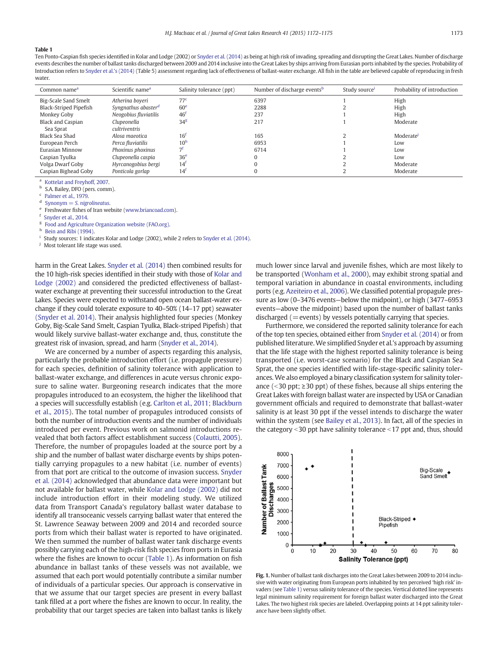### <span id="page-1-0"></span>Table 1

Ten Ponto-Caspian fish species identified in Kolar and Lodge (2002) or [Snyder et al. \(2014\)](#page-3-0) as being at high risk of invading, spreading and disrupting the Great Lakes. Number of discharge events describes the number of ballast tanks discharged between 2009 and 2014 inclusive into the Great Lakes by ships arriving from Eurasian ports inhabited by the species. Probability of Introduction refers to [Snyder et al.'s \(2014\)](#page-3-0) (Table 5) assessment regarding lack of effectiveness of ballast-water exchange. All fish in the table are believed capable of reproducing in fresh water

| Common name <sup>a</sup> | Scientific name <sup>a</sup>    | Salinity tolerance (ppt) | Number of discharge events <sup>b</sup> | Study source <sup>1</sup> | Probability of introduction |
|--------------------------|---------------------------------|--------------------------|-----------------------------------------|---------------------------|-----------------------------|
| Big-Scale Sand Smelt     | Atherina boyeri                 | 77 <sup>c</sup>          | 6397                                    |                           | High                        |
| Black-Striped Pipefish   | Syngnathus abaster <sup>d</sup> | 60 <sup>e</sup>          | 2288                                    |                           | High                        |
| Monkey Goby              | Neogobius fluviatilis           | 46 <sup>t</sup>          | 237                                     |                           | High                        |
| <b>Black and Caspian</b> | Clupeonella                     | $34^{\circ}$             | 217                                     |                           | Moderate                    |
| Sea Sprat                | cultriventris                   |                          |                                         |                           |                             |
| Black Sea Shad           | Alosa maeotica                  | 16 <sup>t</sup>          | 165                                     |                           | Moderate                    |
| European Perch           | Perca fluviatilis               | 10 <sup>h</sup>          | 6953                                    |                           | Low                         |
| Eurasian Minnow          | Phoxinus phoxinus               |                          | 6714                                    |                           | Low                         |
| Caspian Tyulka           | Clupeonella caspia              | 36 <sup>e</sup>          |                                         |                           | Low                         |
| Volga Dwarf Goby         | Hyrcanogobius bergi             | 14 <sup>t</sup>          |                                         |                           | Moderate                    |
| Caspian Bighead Goby     | Ponticola gorlap                | 14 <sup>t</sup>          |                                         |                           | Moderate                    |

<sup>a</sup> [Kottelat and Freyhoff, 2007](#page-3-0).

S.A. Bailey, DFO (pers. comm).

 $^{\circ}$  [Palmer et al., 1979](#page-3-0).

 $S$ ynonym  $= S$ . nigrolineatus.

Freshwater fishes of Iran website [\(www.briancoad.com](http://www.briancoad.com)).

[Snyder et al., 2014.](#page-3-0)

 $g$  [Food and Agriculture Organization website \(FAO.org\)](#page-2-0).

[Bein and Ribi \(1994\).](#page-2-0)

Study sources: 1 indicates Kolar and Lodge (2002), while 2 refers to [Snyder et al. \(2014\).](#page-3-0)

<sup>j</sup> Most tolerant life stage was used.

harm in the Great Lakes. [Snyder et al. \(2014\)](#page-3-0) then combined results for the 10 high-risk species identified in their study with those of [Kolar and](#page-2-0) [Lodge \(2002\)](#page-2-0) and considered the predicted effectiveness of ballastwater exchange at preventing their successful introduction to the Great Lakes. Species were expected to withstand open ocean ballast-water exchange if they could tolerate exposure to 40–50% (14–17 ppt) seawater [\(Snyder et al. 2014\)](#page-3-0). Their analysis highlighted four species (Monkey Goby, Big-Scale Sand Smelt, Caspian Tyulka, Black-striped Pipefish) that would likely survive ballast-water exchange and, thus, constitute the greatest risk of invasion, spread, and harm [\(Snyder et al., 2014\)](#page-3-0).

We are concerned by a number of aspects regarding this analysis, particularly the probable introduction effort (i.e. propagule pressure) for each species, definition of salinity tolerance with application to ballast-water exchange, and differences in acute versus chronic exposure to saline water. Burgeoning research indicates that the more propagules introduced to an ecosystem, the higher the likelihood that a species will successfully establish (e.g. [Carlton et al., 2011; Blackburn](#page-2-0) [et al., 2015\)](#page-2-0). The total number of propagules introduced consists of both the number of introduction events and the number of individuals introduced per event. Previous work on salmonid introductions revealed that both factors affect establishment success ([Colautti, 2005](#page-2-0)). Therefore, the number of propagules loaded at the source port by a ship and the number of ballast water discharge events by ships potentially carrying propagules to a new habitat (i.e. number of events) from that port are critical to the outcome of invasion success. [Snyder](#page-3-0) [et al. \(2014\)](#page-3-0) acknowledged that abundance data were important but not available for ballast water, while [Kolar and Lodge \(2002\)](#page-2-0) did not include introduction effort in their modeling study. We utilized data from Transport Canada's regulatory ballast water database to identify all transoceanic vessels carrying ballast water that entered the St. Lawrence Seaway between 2009 and 2014 and recorded source ports from which their ballast water is reported to have originated. We then summed the number of ballast water tank discharge events possibly carrying each of the high-risk fish species from ports in Eurasia where the fishes are known to occur (Table 1). As information on fish abundance in ballast tanks of these vessels was not available, we assumed that each port would potentially contribute a similar number of individuals of a particular species. Our approach is conservative in that we assume that our target species are present in every ballast tank filled at a port where the fishes are known to occur. In reality, the probability that our target species are taken into ballast tanks is likely much lower since larval and juvenile fishes, which are most likely to be transported [\(Wonham et al., 2000](#page-3-0)), may exhibit strong spatial and temporal variation in abundance in coastal environments, including ports (e.g. [Azeiteiro et al., 2006](#page-2-0)). We classified potential propagule pressure as low (0–3476 events—below the midpoint), or high (3477–6953 events—above the midpoint) based upon the number of ballast tanks discharged ( $=$ events) by vessels potentially carrying that species.

Furthermore, we considered the reported salinity tolerance for each of the top ten species, obtained either from [Snyder et al. \(2014\)](#page-3-0) or from published literature. We simplified Snyder et al.'s approach by assuming that the life stage with the highest reported salinity tolerance is being transported (i.e. worst-case scenario) for the Black and Caspian Sea Sprat, the one species identified with life-stage-specific salinity tolerances. We also employed a binary classification system for salinity tolerance ( $\leq$ 30 ppt;  $\geq$ 30 ppt) of these fishes, because all ships entering the Great Lakes with foreign ballast water are inspected by USA or Canadian government officials and required to demonstrate that ballast-water salinity is at least 30 ppt if the vessel intends to discharge the water within the system (see [Bailey et al., 2013\)](#page-2-0). In fact, all of the species in the category  $<$  30 ppt have salinity tolerance  $<$  17 ppt and, thus, should



Fig. 1. Number of ballast tank discharges into the Great Lakes between 2009 to 2014 inclusive with water originating from European ports inhabited by ten perceived 'high risk' invaders (see Table 1) versus salinity tolerance of the species. Vertical dotted line represents legal minimum salinity requirement for foreign ballast water discharged into the Great Lakes. The two highest risk species are labeled. Overlapping points at 14 ppt salinity tolerance have been slightly offset.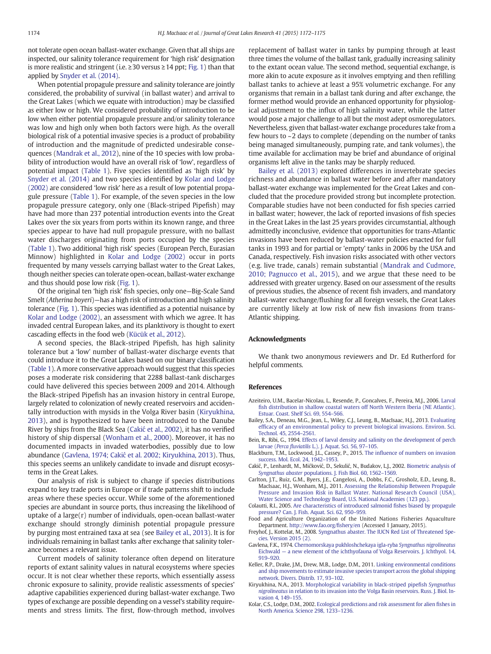<span id="page-2-0"></span>not tolerate open ocean ballast-water exchange. Given that all ships are inspected, our salinity tolerance requirement for 'high risk' designation is more realistic and stringent (i.e.  $≥$ 30 versus  $≥$ 14 ppt; [Fig. 1](#page-1-0)) than that applied by [Snyder et al. \(2014\).](#page-3-0)

When potential propagule pressure and salinity tolerance are jointly considered, the probability of survival (in ballast water) and arrival to the Great Lakes (which we equate with introduction) may be classified as either low or high. We considered probability of introduction to be low when either potential propagule pressure and/or salinity tolerance was low and high only when both factors were high. As the overall biological risk of a potential invasive species is a product of probability of introduction and the magnitude of predicted undesirable consequences [\(Mandrak et al., 2012\)](#page-3-0), nine of the 10 species with low probability of introduction would have an overall risk of 'low', regardless of potential impact [\(Table 1\)](#page-1-0). Five species identified as 'high risk' by [Snyder et al. \(2014\)](#page-3-0) and two species identified by Kolar and Lodge (2002) are considered 'low risk' here as a result of low potential propagule pressure ([Table 1](#page-1-0)). For example, of the seven species in the low propagule pressure category, only one (Black-striped Pipefish) may have had more than 237 potential introduction events into the Great Lakes over the six years from ports within its known range, and three species appear to have had null propagule pressure, with no ballast water discharges originating from ports occupied by the species [\(Table 1\)](#page-1-0). Two additional 'high risk' species (European Perch, Eurasian Minnow) highlighted in Kolar and Lodge (2002) occur in ports frequented by many vessels carrying ballast water to the Great Lakes, though neither species can tolerate open-ocean, ballast-water exchange and thus should pose low risk [\(Fig. 1](#page-1-0)).

Of the original ten 'high risk' fish species, only one—Big-Scale Sand Smelt (Atherina boyeri)—has a high risk of introduction and high salinity tolerance [\(Fig. 1\)](#page-1-0). This species was identified as a potential nuisance by Kolar and Lodge (2002), an assessment with which we agree. It has invaded central European lakes, and its planktivory is thought to exert cascading effects in the food web ([Kücük et al., 2012\)](#page-3-0).

A second species, the Black-striped Pipefish, has high salinity tolerance but a 'low' number of ballast-water discharge events that could introduce it to the Great Lakes based on our binary classification [\(Table 1](#page-1-0)). A more conservative approach would suggest that this species poses a moderate risk considering that 2288 ballast-tank discharges could have delivered this species between 2009 and 2014. Although the Black-striped Pipefish has an invasion history in central Europe, largely related to colonization of newly created reservoirs and accidentally introduction with mysids in the Volga River basin (Kiryukhina, 2013), and is hypothesized to have been introduced to the Danube River by ships from the Black Sea (Cakić et al., 2002), it has no verified history of ship dispersal [\(Wonham et al., 2000](#page-3-0)). Moreover, it has no documented impacts in invaded waterbodies, possibly due to low abundance (Gavlena, 1974; Cakić et al. 2002; Kiryukhina, 2013). Thus, this species seems an unlikely candidate to invade and disrupt ecosystems in the Great Lakes.

Our analysis of risk is subject to change if species distributions expand to key trade ports in Europe or if trade patterns shift to include areas where these species occur. While some of the aforementioned species are abundant in source ports, thus increasing the likelihood of uptake of a large(r) number of individuals, open-ocean ballast-water exchange should strongly diminish potential propagule pressure by purging most entrained taxa at sea (see Bailey et al., 2013). It is for individuals remaining in ballast tanks after exchange that salinity tolerance becomes a relevant issue.

Current models of salinity tolerance often depend on literature reports of extant salinity values in natural ecosystems where species occur. It is not clear whether these reports, which essentially assess chronic exposure to salinity, provide realistic assessments of species' adaptive capabilities experienced during ballast-water exchange. Two types of exchange are possible depending on a vessel's stability requirements and stress limits. The first, flow-through method, involves replacement of ballast water in tanks by pumping through at least three times the volume of the ballast tank, gradually increasing salinity to the extant ocean value. The second method, sequential exchange, is more akin to acute exposure as it involves emptying and then refilling ballast tanks to achieve at least a 95% volumetric exchange. For any organisms that remain in a ballast tank during and after exchange, the former method would provide an enhanced opportunity for physiological adjustment to the influx of high salinity water, while the latter would pose a major challenge to all but the most adept osmoregulators. Nevertheless, given that ballast-water exchange procedures take from a few hours to ~2 days to complete (depending on the number of tanks being managed simultaneously, pumping rate, and tank volumes), the time available for acclimation may be brief and abundance of original organisms left alive in the tanks may be sharply reduced.

Bailey et al. (2013) explored differences in invertebrate species richness and abundance in ballast water before and after mandatory ballast-water exchange was implemented for the Great Lakes and concluded that the procedure provided strong but incomplete protection. Comparable studies have not been conducted for fish species carried in ballast water; however, the lack of reported invasions of fish species in the Great Lakes in the last 25 years provides circumstantial, although admittedly inconclusive, evidence that opportunities for trans-Atlantic invasions have been reduced by ballast-water policies enacted for full tanks in 1993 and for partial or 'empty' tanks in 2006 by the USA and Canada, respectively. Fish invasion risks associated with other vectors (e.g. live trade, canals) remain substantial ([Mandrak and Cudmore,](#page-3-0) [2010; Pagnucco et al., 2015\)](#page-3-0), and we argue that these need to be addressed with greater urgency. Based on our assessment of the results of previous studies, the absence of recent fish invaders, and mandatory ballast-water exchange/flushing for all foreign vessels, the Great Lakes are currently likely at low risk of new fish invasions from trans-Atlantic shipping.

### Acknowledgments

We thank two anonymous reviewers and Dr. Ed Rutherford for helpful comments.

### References

- Azeiteiro, U.M., Bacelar-Nicolau, L., Resende, P., Goncalves, F., Pereira, M.J., 2006. [Larval](http://refhub.elsevier.com/S0380-1330(15)00142-2/rf0105) fi[sh distribution in shallow coastal waters off North Western Iberia \(NE Atlantic\).](http://refhub.elsevier.com/S0380-1330(15)00142-2/rf0105) [Estuar. Coast. Shelf Sci. 69, 554](http://refhub.elsevier.com/S0380-1330(15)00142-2/rf0105)–566.
- Bailey, S.A., Deneau, M.G., Jean, L., Wiley, C.J., Leung, B., MacIsaac, H.J., 2013. [Evaluating](http://refhub.elsevier.com/S0380-1330(15)00142-2/rf0010) effi[cacy of an environmental policy to prevent biological invasions. Environ. Sci.](http://refhub.elsevier.com/S0380-1330(15)00142-2/rf0010) [Technol. 45, 2554](http://refhub.elsevier.com/S0380-1330(15)00142-2/rf0010)–2561.
- Bein, R., Ribi, G., 1994. [Effects of larval density and salinity on the development of perch](http://refhub.elsevier.com/S0380-1330(15)00142-2/rf0015) larvae (Perca fluviatilis [L.\). J. Aquat. Sci. 56, 97](http://refhub.elsevier.com/S0380-1330(15)00142-2/rf0015)–105.
- Blackburn, T.M., Lockwood, J.L., Cassey, P., 2015. The infl[uence of numbers on invasion](http://refhub.elsevier.com/S0380-1330(15)00142-2/rf0020) [success. Mol. Ecol. 24, 1942](http://refhub.elsevier.com/S0380-1330(15)00142-2/rf0020)–1953.
- Cakić, P., Lenhardt, M., Mićković, D., Sekulić, N., Budakov, L.J., 2002. [Biometric analysis of](http://refhub.elsevier.com/S0380-1330(15)00142-2/rf0025) Syngnathus abaster [populations. J. Fish Biol. 60, 1562](http://refhub.elsevier.com/S0380-1330(15)00142-2/rf0025)–1569.
- Carlton, J.T., Ruiz, G.M., Byers, J.E., Cangelosi, A., Dobbs, F.C., Grosholz, E.D., Leung, B., MacIsaac, H.J., Wonham, M.J., 2011. [Assessing the Relationship Between Propagule](http://refhub.elsevier.com/S0380-1330(15)00142-2/rf0030) [Pressure and Invasion Risk in Ballast Water. National Research Council \(USA\),](http://refhub.elsevier.com/S0380-1330(15)00142-2/rf0030) [Water Science and Technology Board, U.S. National Academies \(123 pp.\).](http://refhub.elsevier.com/S0380-1330(15)00142-2/rf0030)
- Colautti, R.I., 2005. [Are characteristics of introduced salmonid](http://refhub.elsevier.com/S0380-1330(15)00142-2/rf0035) fishes biased by propagule [pressure? Can. J. Fish. Aquat. Sci. 62, 950](http://refhub.elsevier.com/S0380-1330(15)00142-2/rf0035)–959.
- Food and Agriculture Organization of the United Nations Fisheries Aquaculture Department. [http://www.fao.org/](http://www.fao.org/fishery/en)fishery/en (Accessed 1 January, 2015).
- Freyhof, J., Kottelat, M., 2008. [Syngnathus abaster. The IUCN Red List of Threatened Spe](http://refhub.elsevier.com/S0380-1330(15)00142-2/rf9100)[cies. Version 2015 \(2\)](http://refhub.elsevier.com/S0380-1330(15)00142-2/rf9100).
- Gavlena, F.K., 1974. [Chernomorskaya pukhloshchekaya igla-ryba](http://refhub.elsevier.com/S0380-1330(15)00142-2/rf0040) Syngnathus nigrolineatus Eichwald — [a new element of the ichthyofauna of Volga Reservoirs. J. Ichthyol. 14,](http://refhub.elsevier.com/S0380-1330(15)00142-2/rf0040) 919–[920.](http://refhub.elsevier.com/S0380-1330(15)00142-2/rf0040)
- Keller, R.P., Drake, J.M., Drew, M.B., Lodge, D.M., 2011. [Linking environmental conditions](http://refhub.elsevier.com/S0380-1330(15)00142-2/rf0045) [and ship movements to estimate invasive species transport across the global shipping](http://refhub.elsevier.com/S0380-1330(15)00142-2/rf0045) [network. Divers. Distrib. 17, 93](http://refhub.elsevier.com/S0380-1330(15)00142-2/rf0045)–102.
- Kiryukhina, N.A., 2013. [Morphological variability in black-striped pipe](http://refhub.elsevier.com/S0380-1330(15)00142-2/rf0050)fish Syngnathus nigrolineatus [in relation to its invasion into the Volga Basin reservoirs. Russ. J. Biol. In](http://refhub.elsevier.com/S0380-1330(15)00142-2/rf0050)[vasion 4, 149](http://refhub.elsevier.com/S0380-1330(15)00142-2/rf0050)-155
- Kolar, C.S., Lodge, D.M., 2002. [Ecological predictions and risk assessment for alien](http://refhub.elsevier.com/S0380-1330(15)00142-2/rf9000) fishes in [North America. Science 298, 1233](http://refhub.elsevier.com/S0380-1330(15)00142-2/rf9000)–1236.